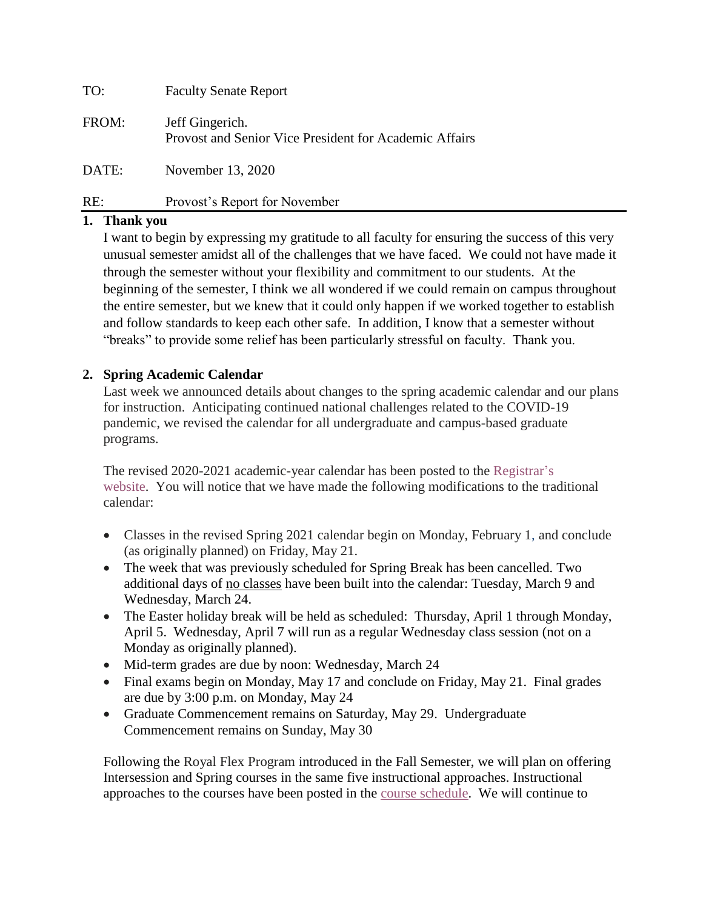| TO:   | <b>Faculty Senate Report</b>                                              |
|-------|---------------------------------------------------------------------------|
| FROM: | Jeff Gingerich.<br>Provost and Senior Vice President for Academic Affairs |
| DATE: | November 13, 2020                                                         |
| RE:   | Provost's Report for November                                             |

### **1. Thank you**

I want to begin by expressing my gratitude to all faculty for ensuring the success of this very unusual semester amidst all of the challenges that we have faced. We could not have made it through the semester without your flexibility and commitment to our students. At the beginning of the semester, I think we all wondered if we could remain on campus throughout the entire semester, but we knew that it could only happen if we worked together to establish and follow standards to keep each other safe. In addition, I know that a semester without "breaks" to provide some relief has been particularly stressful on faculty. Thank you.

#### **2. Spring Academic Calendar**

Last week we announced details about changes to the spring academic calendar and our plans for instruction. Anticipating continued national challenges related to the COVID-19 pandemic, we revised the calendar for all undergraduate and campus-based graduate programs.

The revised 2020-2021 academic-year calendar has been posted to the [Registrar's](https://www.scranton.edu/academics/registrar/academic-calendar.shtml)  [website.](https://www.scranton.edu/academics/registrar/academic-calendar.shtml) You will notice that we have made the following modifications to the traditional calendar:

- Classes in the revised Spring 2021 calendar begin on Monday, February 1, and conclude (as originally planned) on Friday, May 21.
- The week that was previously scheduled for Spring Break has been cancelled. Two additional days of no classes have been built into the calendar: Tuesday, March 9 and Wednesday, March 24.
- The Easter holiday break will be held as scheduled: Thursday, April 1 through Monday, April 5. Wednesday, April 7 will run as a regular Wednesday class session (not on a Monday as originally planned).
- Mid-term grades are due by noon: Wednesday, March 24
- Final exams begin on Monday, May 17 and conclude on Friday, May 21. Final grades are due by 3:00 p.m. on Monday, May 24
- Graduate Commencement remains on Saturday, May 29. Undergraduate Commencement remains on Sunday, May 30

Following the [Royal Flex Program](https://www.scranton.edu/royals-safe-together/royal-flex.shtml) introduced in the Fall Semester, we will plan on offering Intersession and Spring courses in the same five instructional approaches. Instructional approaches to the courses have been posted in the [course schedule.](https://ssbprd.scranton.edu/appprd/syaclst.main) We will continue to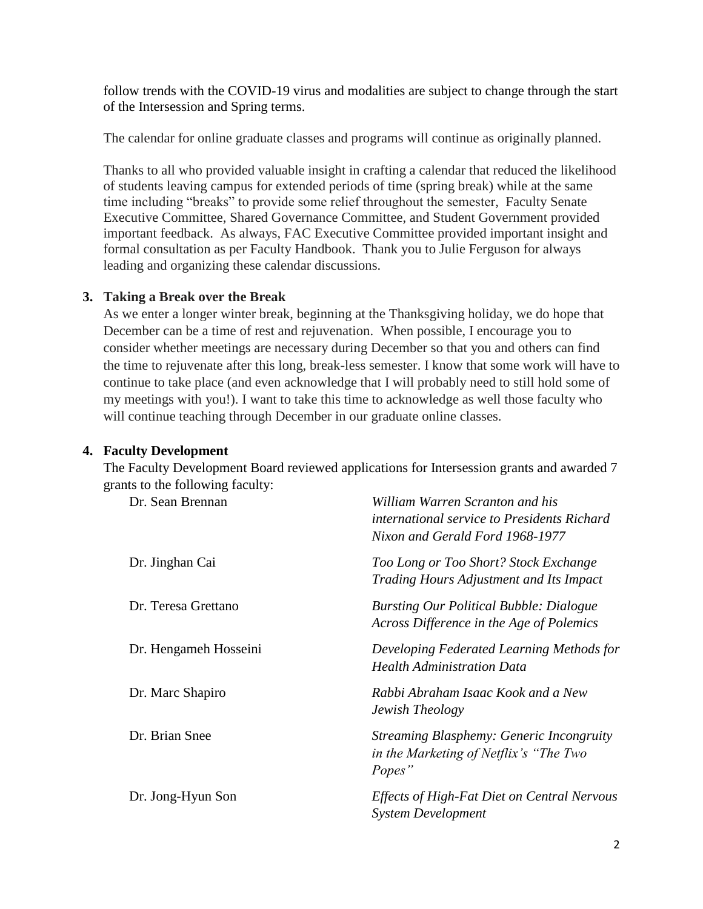follow trends with the COVID-19 virus and modalities are subject to change through the start of the Intersession and Spring terms.

The calendar for online graduate classes and programs will continue as originally planned.

Thanks to all who provided valuable insight in crafting a calendar that reduced the likelihood of students leaving campus for extended periods of time (spring break) while at the same time including "breaks" to provide some relief throughout the semester, Faculty Senate Executive Committee, Shared Governance Committee, and Student Government provided important feedback. As always, FAC Executive Committee provided important insight and formal consultation as per Faculty Handbook. Thank you to Julie Ferguson for always leading and organizing these calendar discussions.

#### **3. Taking a Break over the Break**

As we enter a longer winter break, beginning at the Thanksgiving holiday, we do hope that December can be a time of rest and rejuvenation. When possible, I encourage you to consider whether meetings are necessary during December so that you and others can find the time to rejuvenate after this long, break-less semester. I know that some work will have to continue to take place (and even acknowledge that I will probably need to still hold some of my meetings with you!). I want to take this time to acknowledge as well those faculty who will continue teaching through December in our graduate online classes.

## **4. Faculty Development**

The Faculty Development Board reviewed applications for Intersession grants and awarded 7 grants to the following faculty:

| Dr. Sean Brennan      | William Warren Scranton and his<br>international service to Presidents Richard<br>Nixon and Gerald Ford 1968-1977 |
|-----------------------|-------------------------------------------------------------------------------------------------------------------|
| Dr. Jinghan Cai       | Too Long or Too Short? Stock Exchange<br>Trading Hours Adjustment and Its Impact                                  |
| Dr. Teresa Grettano   | <b>Bursting Our Political Bubble: Dialogue</b><br>Across Difference in the Age of Polemics                        |
| Dr. Hengameh Hosseini | Developing Federated Learning Methods for<br><b>Health Administration Data</b>                                    |
| Dr. Marc Shapiro      | Rabbi Abraham Isaac Kook and a New<br>Jewish Theology                                                             |
| Dr. Brian Snee        | <b>Streaming Blasphemy: Generic Incongruity</b><br>in the Marketing of Netflix's "The Two<br>Popes"               |
| Dr. Jong-Hyun Son     | Effects of High-Fat Diet on Central Nervous<br><b>System Development</b>                                          |